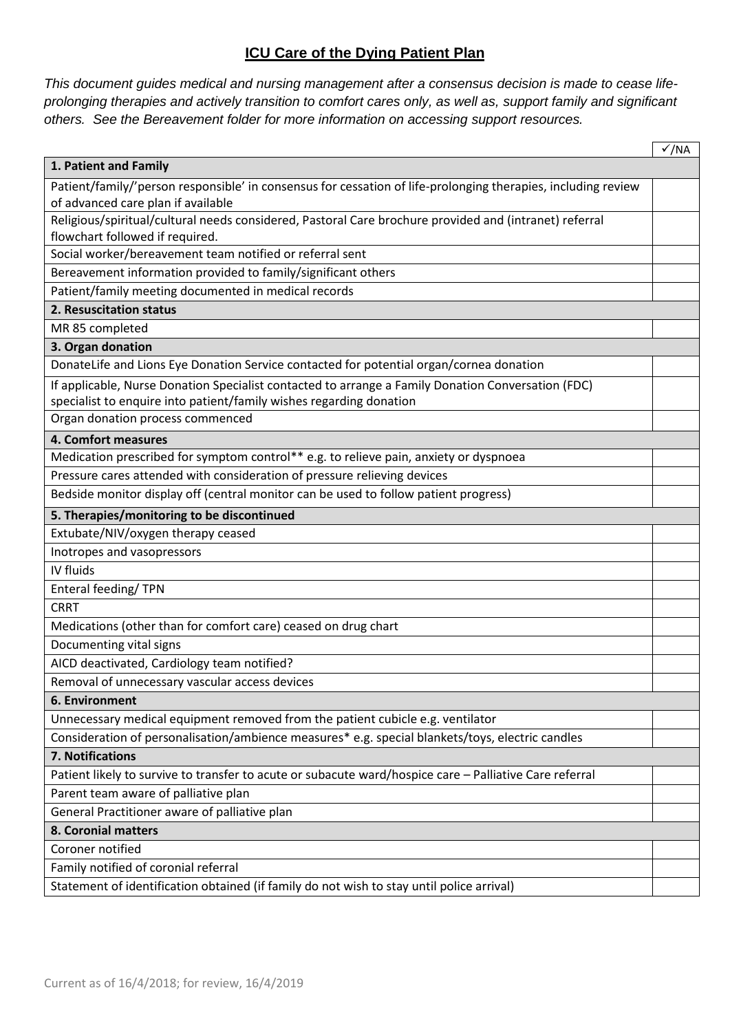# **ICU Care of the Dying Patient Plan**

*This document guides medical and nursing management after a consensus decision is made to cease lifeprolonging therapies and actively transition to comfort cares only, as well as, support family and significant others. See the Bereavement folder for more information on accessing support resources.*

|                                                                                                               | $\sqrt{}/NA$ |
|---------------------------------------------------------------------------------------------------------------|--------------|
| 1. Patient and Family                                                                                         |              |
| Patient/family/'person responsible' in consensus for cessation of life-prolonging therapies, including review |              |
| of advanced care plan if available                                                                            |              |
| Religious/spiritual/cultural needs considered, Pastoral Care brochure provided and (intranet) referral        |              |
| flowchart followed if required.                                                                               |              |
| Social worker/bereavement team notified or referral sent                                                      |              |
| Bereavement information provided to family/significant others                                                 |              |
| Patient/family meeting documented in medical records                                                          |              |
| 2. Resuscitation status                                                                                       |              |
| MR 85 completed                                                                                               |              |
| 3. Organ donation                                                                                             |              |
| DonateLife and Lions Eye Donation Service contacted for potential organ/cornea donation                       |              |
| If applicable, Nurse Donation Specialist contacted to arrange a Family Donation Conversation (FDC)            |              |
| specialist to enquire into patient/family wishes regarding donation                                           |              |
| Organ donation process commenced                                                                              |              |
| 4. Comfort measures                                                                                           |              |
| Medication prescribed for symptom control** e.g. to relieve pain, anxiety or dyspnoea                         |              |
| Pressure cares attended with consideration of pressure relieving devices                                      |              |
| Bedside monitor display off (central monitor can be used to follow patient progress)                          |              |
| 5. Therapies/monitoring to be discontinued                                                                    |              |
| Extubate/NIV/oxygen therapy ceased                                                                            |              |
| Inotropes and vasopressors                                                                                    |              |
| IV fluids                                                                                                     |              |
| Enteral feeding/TPN                                                                                           |              |
| <b>CRRT</b>                                                                                                   |              |
| Medications (other than for comfort care) ceased on drug chart                                                |              |
| Documenting vital signs                                                                                       |              |
| AICD deactivated, Cardiology team notified?                                                                   |              |
| Removal of unnecessary vascular access devices                                                                |              |
| 6. Environment                                                                                                |              |
| Unnecessary medical equipment removed from the patient cubicle e.g. ventilator                                |              |
| Consideration of personalisation/ambience measures* e.g. special blankets/toys, electric candles              |              |
| 7. Notifications                                                                                              |              |
| Patient likely to survive to transfer to acute or subacute ward/hospice care - Palliative Care referral       |              |
| Parent team aware of palliative plan                                                                          |              |
| General Practitioner aware of palliative plan                                                                 |              |
| 8. Coronial matters                                                                                           |              |
| Coroner notified                                                                                              |              |
| Family notified of coronial referral                                                                          |              |
| Statement of identification obtained (if family do not wish to stay until police arrival)                     |              |